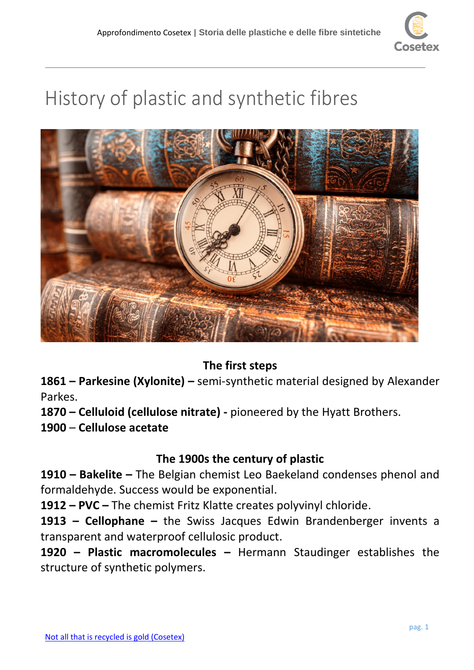

# History of plastic and synthetic fibres



## **The first steps**

**1861 – Parkesine (Xylonite) –** semi-synthetic material designed by Alexander Parkes.

**1870 – Celluloid (cellulose nitrate) -** pioneered by the Hyatt Brothers.

**1900** – **Cellulose acetate**

## **The 1900s the century of plastic**

**1910 – Bakelite –** The Belgian chemist Leo Baekeland condenses phenol and formaldehyde. Success would be exponential.

**1912 – PVC –** The chemist Fritz Klatte creates polyvinyl chloride.

**1913 – Cellophane –** the Swiss Jacques Edwin Brandenberger invents a transparent and waterproof cellulosic product.

**1920 – Plastic macromolecules –** Hermann Staudinger establishes the structure of synthetic polymers.